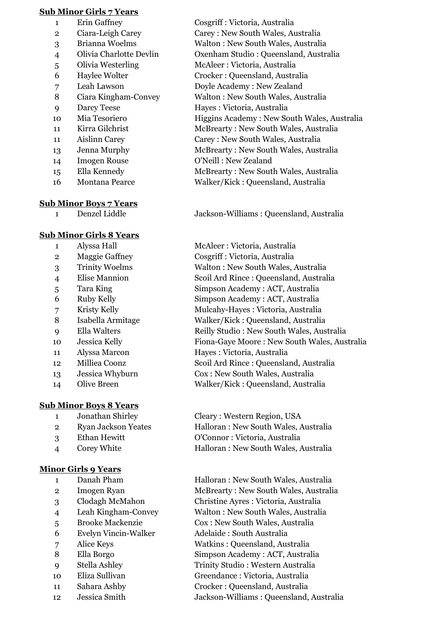#### **Sub Minor Girls 7 Years**

- Erin Gaffney Cosgriff : Victoria, Australia
- 
- 
- 
- 
- 
- 
- 
- 
- 
- 
- 
- 
- 
- 
- 

## **Sub Minor Boys 7 Years**

## **Sub Minor Girls 8 Years**

- 
- 
- 
- 
- 
- 
- 
- 
- 
- 
- 
- 
- 
- 

## **Sub Minor Boys 8 Years**

- 
- 
- 
- 

## **Minor Girls 9 Years**

- 
- 
- 
- 
- 
- Evelyn Vincin-Walker Adelaide : South Australia
- 
- 
- 
- 
- 
- 

 Ciara-Leigh Carey Carey : New South Wales, Australia Brianna Woelms Walton : New South Wales, Australia Olivia Charlotte Devlin Oxenham Studio : Queensland, Australia Olivia Westerling McAleer : Victoria, Australia Haylee Wolter Crocker : Queensland, Australia Leah Lawson Doyle Academy : New Zealand Ciara Kingham-Convey Walton : New South Wales, Australia Darcy Teese Hayes : Victoria, Australia Mia Tesoriero Higgins Academy : New South Wales, Australia 11 Kirra Gilchrist McBrearty : New South Wales, Australia Aislinn Carey Carey : New South Wales, Australia Jenna Murphy McBrearty : New South Wales, Australia Imogen Rouse O'Neill : New Zealand

 Ella Kennedy McBrearty : New South Wales, Australia Montana Pearce Walker/Kick : Queensland, Australia

Denzel Liddle Jackson-Williams : Queensland, Australia

 Alyssa Hall McAleer : Victoria, Australia Maggie Gaffney Cosgriff : Victoria, Australia Trinity Woelms Walton : New South Wales, Australia Elise Mannion Scoil Ard Rince : Queensland, Australia Tara King Simpson Academy : ACT, Australia Ruby Kelly Simpson Academy : ACT, Australia Kristy Kelly Mulcahy-Hayes : Victoria, Australia Isabella Armitage Walker/Kick : Queensland, Australia Ella Walters Reilly Studio : New South Wales, Australia Jessica Kelly Fiona-Gaye Moore : New South Wales, Australia Alyssa Marcon Hayes : Victoria, Australia Milliea Coonz Scoil Ard Rince : Queensland, Australia Jessica Whyburn Cox : New South Wales, Australia Olive Breen Walker/Kick : Queensland, Australia

1 Jonathan Shirley Cleary : Western Region, USA Ryan Jackson Yeates Halloran : New South Wales, Australia Ethan Hewitt O'Connor : Victoria, Australia Corey White Halloran : New South Wales, Australia

1 Danah Pham Halloran : New South Wales, Australia 2 Imogen Ryan McBrearty : New South Wales, Australia Clodagh McMahon Christine Ayres : Victoria, Australia Leah Kingham-Convey Walton : New South Wales, Australia Brooke Mackenzie Cox : New South Wales, Australia Alice Keys Watkins : Queensland, Australia Ella Borgo Simpson Academy : ACT, Australia Stella Ashley Trinity Studio : Western Australia Eliza Sullivan Greendance : Victoria, Australia Sahara Ashby Crocker : Queensland, Australia Jessica Smith Jackson-Williams : Queensland, Australia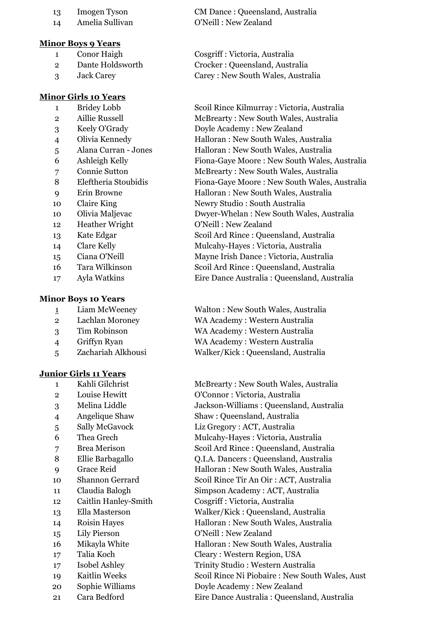- 
- 

#### **Minor Boys 9 Years**

- 
- 
- 

#### **Minor Girls 10 Years**

- 
- 
- 
- 
- 
- 
- 
- 
- 
- 
- 
- 
- 
- 
- 
- 
- 

#### **Minor Boys 10 Years**

- 
- 
- 
- 
- 

#### **Junior Girls 11 Years**

- 
- 
- 
- 
- 
- 
- 
- 
- 
- 
- 
- 
- 
- 
- 
- 
- 
- 
- 
- 
- 

 Imogen Tyson CM Dance : Queensland, Australia Amelia Sullivan O'Neill : New Zealand

 Conor Haigh Cosgriff : Victoria, Australia Dante Holdsworth Crocker : Queensland, Australia Jack Carey Carey : New South Wales, Australia

 Bridey Lobb Scoil Rince Kilmurray : Victoria, Australia 2 Aillie Russell McBrearty : New South Wales, Australia Keely O'Grady Doyle Academy : New Zealand Olivia Kennedy Halloran : New South Wales, Australia Alana Curran - Jones Halloran : New South Wales, Australia Ashleigh Kelly Fiona-Gaye Moore : New South Wales, Australia Connie Sutton McBrearty : New South Wales, Australia Eleftheria Stoubidis Fiona-Gaye Moore : New South Wales, Australia Erin Browne Halloran : New South Wales, Australia 10 Claire King Newry Studio : South Australia Olivia Maljevac Dwyer-Whelan : New South Wales, Australia Heather Wright O'Neill : New Zealand Kate Edgar Scoil Ard Rince : Queensland, Australia Clare Kelly Mulcahy-Hayes : Victoria, Australia Ciana O'Neill Mayne Irish Dance : Victoria, Australia Tara Wilkinson Scoil Ard Rince : Queensland, Australia Ayla Watkins Eire Dance Australia : Queensland, Australia

 Liam McWeeney Walton : New South Wales, Australia Lachlan Moroney WA Academy : Western Australia Tim Robinson WA Academy : Western Australia Griffyn Ryan WA Academy : Western Australia Zachariah Alkhousi Walker/Kick : Queensland, Australia

 Kahli Gilchrist McBrearty : New South Wales, Australia Louise Hewitt O'Connor : Victoria, Australia Melina Liddle Jackson-Williams : Queensland, Australia Angelique Shaw Shaw : Queensland, Australia Sally McGavock Liz Gregory : ACT, Australia Thea Grech Mulcahy-Hayes : Victoria, Australia Brea Merison Scoil Ard Rince : Queensland, Australia Ellie Barbagallo Q.I.A. Dancers : Queensland, Australia Grace Reid Halloran : New South Wales, Australia Shannon Gerrard Scoil Rince Tir An Oir : ACT, Australia Claudia Balogh Simpson Academy : ACT, Australia Caitlin Hanley-Smith Cosgriff : Victoria, Australia Ella Masterson Walker/Kick : Queensland, Australia Roisin Hayes Halloran : New South Wales, Australia Lily Pierson O'Neill : New Zealand Mikayla White Halloran : New South Wales, Australia Talia Koch Cleary : Western Region, USA Isobel Ashley Trinity Studio : Western Australia Kaitlin Weeks Scoil Rince Ni Piobaire : New South Wales, Aust Sophie Williams Doyle Academy : New Zealand Cara Bedford Eire Dance Australia : Queensland, Australia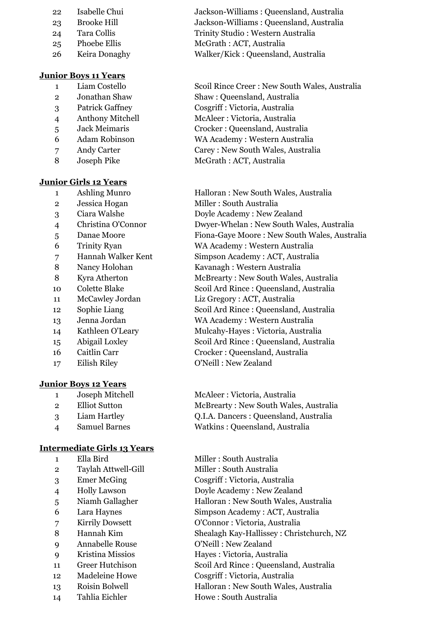- 
- 
- 
- 
- 

## **Junior Boys 11 Years**

- 
- 
- 
- 
- 
- 
- 
- 

## **Junior Girls 12 Years**

- 
- 
- 
- 
- 
- 
- 
- 
- 
- 
- 
- 
- 
- 
- 
- 
- 

## **Junior Boys 12 Years**

- 
- 
- 
- 

## **Intermediate Girls 13 Years**

- 
- 2 Taylah Attwell-Gill Miller : South Australia
- 
- 
- 
- 
- 
- 
- Annabelle Rouse O'Neill : New Zealand
- 
- 
- 
- 
- 

 Isabelle Chui Jackson-Williams : Queensland, Australia Brooke Hill Jackson-Williams : Queensland, Australia 24 Tara Collis Trinity Studio : Western Australia Phoebe Ellis McGrath : ACT, Australia Keira Donaghy Walker/Kick : Queensland, Australia

 Liam Costello Scoil Rince Creer : New South Wales, Australia Jonathan Shaw Shaw : Queensland, Australia Patrick Gaffney Cosgriff : Victoria, Australia Anthony Mitchell McAleer : Victoria, Australia Jack Meimaris Crocker : Queensland, Australia Adam Robinson WA Academy : Western Australia Andy Carter Carey : New South Wales, Australia 8 Joseph Pike McGrath : ACT, Australia

 Ashling Munro Halloran : New South Wales, Australia Jessica Hogan Miller : South Australia Ciara Walshe Doyle Academy : New Zealand Christina O'Connor Dwyer-Whelan : New South Wales, Australia Danae Moore Fiona-Gaye Moore : New South Wales, Australia Trinity Ryan WA Academy : Western Australia Hannah Walker Kent Simpson Academy : ACT, Australia Nancy Holohan Kavanagh : Western Australia 8 Kyra Atherton McBrearty : New South Wales, Australia Colette Blake Scoil Ard Rince : Queensland, Australia McCawley Jordan Liz Gregory : ACT, Australia Sophie Liang Scoil Ard Rince : Queensland, Australia Jenna Jordan WA Academy : Western Australia Kathleen O'Leary Mulcahy-Hayes : Victoria, Australia Abigail Loxley Scoil Ard Rince : Queensland, Australia Caitlin Carr Crocker : Queensland, Australia Eilish Riley O'Neill : New Zealand

 Joseph Mitchell McAleer : Victoria, Australia Elliot Sutton McBrearty : New South Wales, Australia Liam Hartley Q.I.A. Dancers : Queensland, Australia Samuel Barnes Watkins : Queensland, Australia

1 Ella Bird Miller : South Australia Emer McGing Cosgriff : Victoria, Australia Holly Lawson Doyle Academy : New Zealand Niamh Gallagher Halloran : New South Wales, Australia Lara Haynes Simpson Academy : ACT, Australia Kirrily Dowsett O'Connor : Victoria, Australia Hannah Kim Shealagh Kay-Hallissey : Christchurch, NZ Kristina Missios Hayes : Victoria, Australia Greer Hutchison Scoil Ard Rince : Queensland, Australia Madeleine Howe Cosgriff : Victoria, Australia Roisin Bolwell Halloran : New South Wales, Australia 14 Tahlia Eichler Howe: South Australia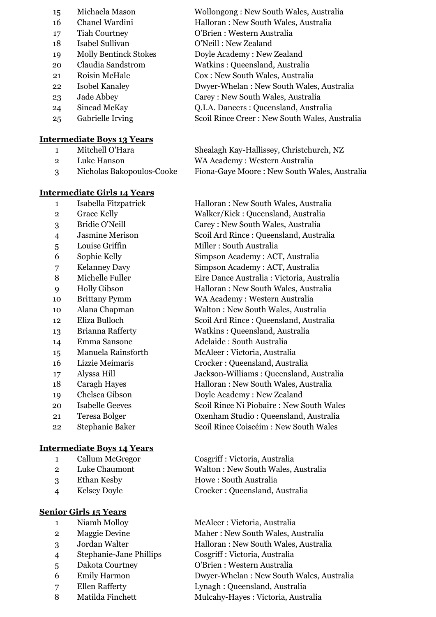- 
- 
- 
- 
- 
- 
- 
- 
- 
- 
- 

## **Intermediate Boys 13 Years**

- -
	-

## **Intermediate Girls 14 Years**

- 
- 
- 
- 
- 
- 
- 
- 
- 
- 
- 
- 
- 
- 
- 
- 
- 
- 
- 
- 
- 
- 

## **Intermediate Boys 14 Years**

- 
- 
- 
- 

## **Senior Girls 15 Years**

- 
- 
- 
- Stephanie-Jane Phillips Cosgriff : Victoria, Australia
- 
- 
- 
- 
- Michaela Mason Wollongong : New South Wales, Australia Chanel Wardini Halloran : New South Wales, Australia Tiah Courtney O'Brien : Western Australia Isabel Sullivan O'Neill : New Zealand Molly Bentinck Stokes Doyle Academy : New Zealand Claudia Sandstrom Watkins : Queensland, Australia Roisin McHale Cox : New South Wales, Australia Isobel Kanaley Dwyer-Whelan : New South Wales, Australia Jade Abbey Carey : New South Wales, Australia Sinead McKay Q.I.A. Dancers : Queensland, Australia Gabrielle Irving Scoil Rince Creer : New South Wales, Australia
- Mitchell O'Hara Shealagh Kay-Hallissey, Christchurch, NZ Luke Hanson WA Academy : Western Australia Nicholas Bakopoulos-Cooke Fiona-Gaye Moore : New South Wales, Australia

 Isabella Fitzpatrick Halloran : New South Wales, Australia Grace Kelly Walker/Kick : Queensland, Australia Bridie O'Neill Carey : New South Wales, Australia Jasmine Merison Scoil Ard Rince : Queensland, Australia 5 Louise Griffin Miller : South Australia Sophie Kelly Simpson Academy : ACT, Australia Kelanney Davy Simpson Academy : ACT, Australia Michelle Fuller Eire Dance Australia : Victoria, Australia Holly Gibson Halloran : New South Wales, Australia Brittany Pymm WA Academy : Western Australia Alana Chapman Walton : New South Wales, Australia Eliza Bulloch Scoil Ard Rince : Queensland, Australia Brianna Rafferty Watkins : Queensland, Australia Emma Sansone Adelaide : South Australia Manuela Rainsforth McAleer : Victoria, Australia Lizzie Meimaris Crocker : Queensland, Australia Alyssa Hill Jackson-Williams : Queensland, Australia 18 Caragh Hayes Halloran : New South Wales, Australia Chelsea Gibson Doyle Academy : New Zealand Isabelle Geeves Scoil Rince Ni Piobaire : New South Wales Teresa Bolger Oxenham Studio : Queensland, Australia Stephanie Baker Scoil Rince Coiscéim : New South Wales

 Callum McGregor Cosgriff : Victoria, Australia Luke Chaumont Walton : New South Wales, Australia Ethan Kesby Howe : South Australia Kelsey Doyle Crocker : Queensland, Australia

 Niamh Molloy McAleer : Victoria, Australia 2 Maggie Devine Maher : New South Wales, Australia Jordan Walter Halloran : New South Wales, Australia Dakota Courtney O'Brien : Western Australia Emily Harmon Dwyer-Whelan : New South Wales, Australia

- Ellen Rafferty Lynagh : Queensland, Australia
- 8 Matilda Finchett Mulcahy-Hayes : Victoria, Australia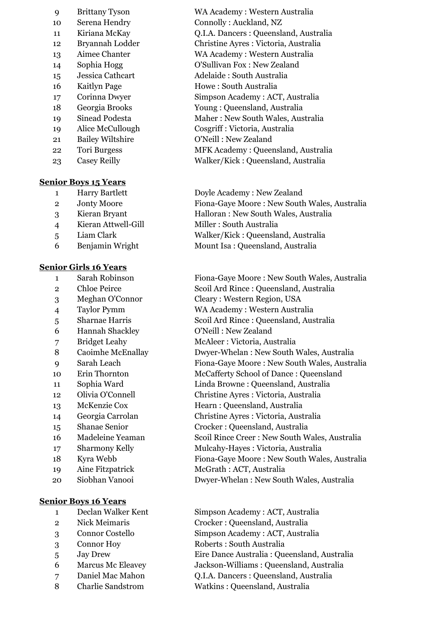| 9  | <b>Brittany Tyson</b>   |
|----|-------------------------|
| 10 | Serena Hendry           |
| 11 | Kiriana McKay           |
| 12 | Bryannah Lodder         |
| 13 | Aimee Chanter           |
| 14 | Sophia Hogg             |
| 15 | Jessica Cathcart        |
| 16 | <b>Kaitlyn Page</b>     |
| 17 | Corinna Dwyer           |
| 18 | Georgia Brooks          |
| 19 | Sinead Podesta          |
| 19 | Alice McCullough        |
| 21 | <b>Bailey Wiltshire</b> |
| 22 | <b>Tori Burgess</b>     |
| 23 | <b>Casey Reilly</b>     |

#### **Senior Boys 15 Years**

- 
- 
- 
- 4 Kieran Attwell-Gill Miller : South Australia
- 
- 

#### **Senior Girls 16 Years**

- 
- 
- 
- 
- 
- Hannah Shackley O'Neill : New Zealand
- 
- 
- 
- 
- 
- 
- 
- 
- 
- 
- 
- 
- 
- 

#### **Senior Boys 16 Years**

- 
- 
- 
- 
- 
- 
- Daniel Mac Mahon Q.I.A. Dancers : Queensland, Australia
- 
- WA Academy : Western Australia Connolly : Auckland, NZ Q.I.A. Dancers : Queensland, Australia Christine Ayres : Victoria, Australia WA Academy : Western Australia O'Sullivan Fox : New Zealand Jessica Cathcart Adelaide : South Australia Howe : South Australia Simpson Academy : ACT, Australia Young : Queensland, Australia Maher : New South Wales, Australia  $Cosgriff$  : Victoria, Australia O'Neill : New Zealand MFK Academy : Queensland, Australia Walker/Kick : Queensland, Australia
- Harry Bartlett Doyle Academy : New Zealand Jonty Moore Fiona-Gaye Moore : New South Wales, Australia Kieran Bryant Halloran : New South Wales, Australia Liam Clark Walker/Kick : Queensland, Australia Benjamin Wright Mount Isa : Queensland, Australia

 Sarah Robinson Fiona-Gaye Moore : New South Wales, Australia Chloe Peirce Scoil Ard Rince : Queensland, Australia Meghan O'Connor Cleary : Western Region, USA Taylor Pymm WA Academy : Western Australia Sharnae Harris Scoil Ard Rince : Queensland, Australia Bridget Leahy McAleer : Victoria, Australia Caoimhe McEnallay Dwyer-Whelan : New South Wales, Australia Sarah Leach Fiona-Gaye Moore : New South Wales, Australia Erin Thornton McCafferty School of Dance : Queensland Sophia Ward Linda Browne : Queensland, Australia Olivia O'Connell Christine Ayres : Victoria, Australia McKenzie Cox Hearn : Queensland, Australia Georgia Carrolan Christine Ayres : Victoria, Australia Shanae Senior Crocker : Queensland, Australia Madeleine Yeaman Scoil Rince Creer : New South Wales, Australia 17 Sharmony Kelly Mulcahy-Hayes : Victoria, Australia Kyra Webb Fiona-Gaye Moore : New South Wales, Australia Aine Fitzpatrick McGrath : ACT, Australia Siobhan Vanooi Dwyer-Whelan : New South Wales, Australia

 Declan Walker Kent Simpson Academy : ACT, Australia Nick Meimaris Crocker : Queensland, Australia Connor Costello Simpson Academy : ACT, Australia Connor Hoy Roberts : South Australia Jay Drew Eire Dance Australia : Queensland, Australia Marcus Mc Eleavey Jackson-Williams : Queensland, Australia

Charlie Sandstrom Watkins : Queensland, Australia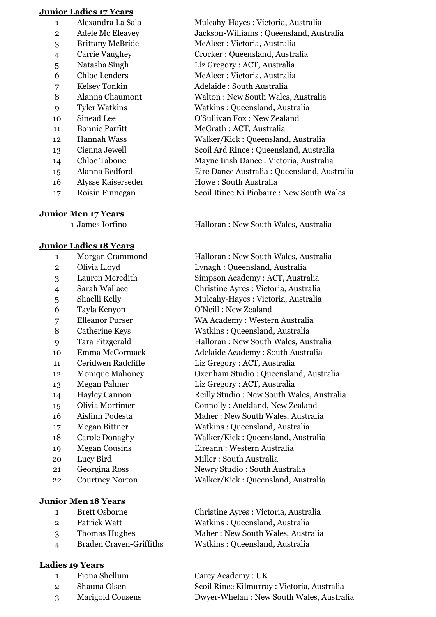#### **Junior Ladies 17 Years**

- 
- 
- 
- 
- 
- 
- 
- 
- 
- 
- 
- 
- 
- 
- Alysse Kaiserseder Howe : South Australia
- 

## **Junior Men 17 Years**

## **Junior Ladies 18 Years**

- 
- 
- 
- 
- 
- 
- 
- 
- 
- 
- 
- 
- 
- 
- 
- 
- 
- 
- 
- 
- 
- 

## **Junior Men 18 Years**

- 
- 
- 
- 

## **Ladies 19 Years**

- 
- 
- 

 Alexandra La Sala Mulcahy-Hayes : Victoria, Australia Adele Mc Eleavey Jackson-Williams : Queensland, Australia Brittany McBride McAleer : Victoria, Australia Carrie Vaughey Crocker : Queensland, Australia Natasha Singh Liz Gregory : ACT, Australia Chloe Lenders McAleer : Victoria, Australia 7 Kelsey Tonkin Adelaide : South Australia Alanna Chaumont Walton : New South Wales, Australia Tyler Watkins Watkins : Queensland, Australia Sinead Lee O'Sullivan Fox : New Zealand 11 Bonnie Parfitt McGrath : ACT, Australia Hannah Wass Walker/Kick : Queensland, Australia Cienna Jewell Scoil Ard Rince : Queensland, Australia Chloe Tabone Mayne Irish Dance : Victoria, Australia Alanna Bedford Eire Dance Australia : Queensland, Australia Roisin Finnegan Scoil Rince Ni Piobaire : New South Wales

James Iorfino Halloran : New South Wales, Australia

 Morgan Crammond Halloran : New South Wales, Australia Olivia Lloyd Lynagh : Queensland, Australia Lauren Meredith Simpson Academy : ACT, Australia Sarah Wallace Christine Ayres : Victoria, Australia 5 Shaelli Kelly Mulcahy-Hayes : Victoria, Australia Tayla Kenyon O'Neill : New Zealand Elleanor Purser WA Academy : Western Australia 8 Catherine Keys Watkins : Queensland, Australia Tara Fitzgerald Halloran : New South Wales, Australia Emma McCormack Adelaide Academy : South Australia Ceridwen Radcliffe Liz Gregory : ACT, Australia Monique Mahoney Oxenham Studio : Queensland, Australia Megan Palmer Liz Gregory : ACT, Australia Hayley Cannon Reilly Studio : New South Wales, Australia Olivia Mortimer Connolly : Auckland, New Zealand Aislinn Podesta Maher : New South Wales, Australia Megan Bittner Watkins : Queensland, Australia Carole Donaghy Walker/Kick : Queensland, Australia Megan Cousins Eireann : Western Australia 20 Lucy Bird Miller : South Australia Georgina Ross Newry Studio : South Australia Courtney Norton Walker/Kick : Queensland, Australia

 Brett Osborne Christine Ayres : Victoria, Australia Patrick Watt Watkins : Queensland, Australia Thomas Hughes Maher : New South Wales, Australia Braden Craven-Griffiths Watkins : Queensland, Australia

 Fiona Shellum Carey Academy : UK Shauna Olsen Scoil Rince Kilmurray : Victoria, Australia Marigold Cousens Dwyer-Whelan : New South Wales, Australia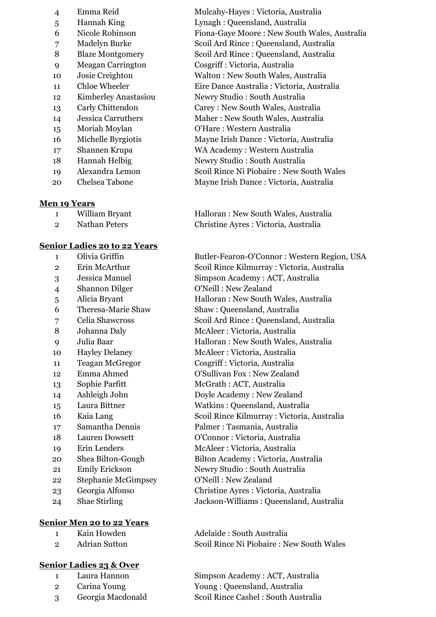| 4  | Emma Reid                |
|----|--------------------------|
| 5  | Hannah King              |
| 6  | Nicole Robinson          |
| 7  | Madelyn Burke            |
| 8  | <b>Blaze Montgomery</b>  |
| 9  | <b>Meagan Carrington</b> |
| 10 | Josie Creighton          |
| 11 | Chloe Wheeler            |
| 12 | Kimberley Anastasio      |
| 13 | Carly Chittendon         |
| 14 | Jessica Carruthers       |
| 15 | Moriah Moylan            |
| 16 | Michelle Byrgiotis       |
| 17 | Shannen Krupa            |
| 18 | <b>Hannah Helbig</b>     |
| 19 | Alexandra Lemon          |
| 20 | Chelsea Tabone           |

#### **Men 19 Years**

| William Bryant |  |
|----------------|--|
|                |  |

## **Senior Ladies 20 to 22 Years**

- 
- 
- 
- 
- 
- 
- 
- 
- 
- 
- 
- 
- 
- 
- 
- 
- 
- 
- 
- 
- 22 Stephanie McGimpsey O'Neill : New Zealand
- 
- 

## **Senior Men 20 to 22 Years**

- 
- 

# **Senior Ladies 23 & Over**

- 
- 
- 

Mulcahy-Hayes : Victoria, Australia Lynagh : Queensland, Australia Fiona-Gaye Moore : New South Wales, Australia Scoil Ard Rince : Queensland, Australia Scoil Ard Rince : Queensland, Australia Cosgriff : Victoria, Australia Walton : New South Wales, Australia Eire Dance Australia : Victoria, Australia 12 Mewry Studio : South Australia Carey : New South Wales, Australia Maher : New South Wales, Australia 0'Hare : Western Australia Mayne Irish Dance : Victoria, Australia WA Academy : Western Australia Newry Studio : South Australia Scoil Rince Ni Piobaire : New South Wales Mayne Irish Dance : Victoria, Australia

Halloran : New South Wales, Australia 2 Nathan Peters Christine Ayres : Victoria, Australia

 Olivia Griffin Butler-Fearon-O'Connor : Western Region, USA Erin McArthur Scoil Rince Kilmurray : Victoria, Australia Jessica Manuel Simpson Academy : ACT, Australia Shannon Dilger O'Neill : New Zealand Alicia Bryant Halloran : New South Wales, Australia Theresa-Marie Shaw Shaw : Queensland, Australia Celia Shawcross Scoil Ard Rince : Queensland, Australia Johanna Daly McAleer : Victoria, Australia Julia Baar Halloran : New South Wales, Australia Hayley Delaney McAleer : Victoria, Australia Teagan McGregor Cosgriff : Victoria, Australia Emma Ahmed O'Sullivan Fox : New Zealand 13 Sophie Parfitt McGrath : ACT, Australia Ashleigh John Doyle Academy : New Zealand Laura Bittner Watkins : Queensland, Australia Kaia Lang Scoil Rince Kilmurray : Victoria, Australia Samantha Dennis Palmer : Tasmania, Australia Lauren Dowsett O'Connor : Victoria, Australia Erin Lenders McAleer : Victoria, Australia Shea Bilton-Gough Bilton Academy : Victoria, Australia Emily Erickson Newry Studio : South Australia Georgia Alfonso Christine Ayres : Victoria, Australia Shae Stirling Jackson-Williams : Queensland, Australia

1 Kain Howden Adelaide : South Australia 2 Adrian Sutton Scoil Rince Ni Piobaire : New South Wales

1 Laura Hannon Simpson Academy : ACT, Australia 2 Carina Young Young : Queensland, Australia 3 Georgia Macdonald Scoil Rince Cashel : South Australia